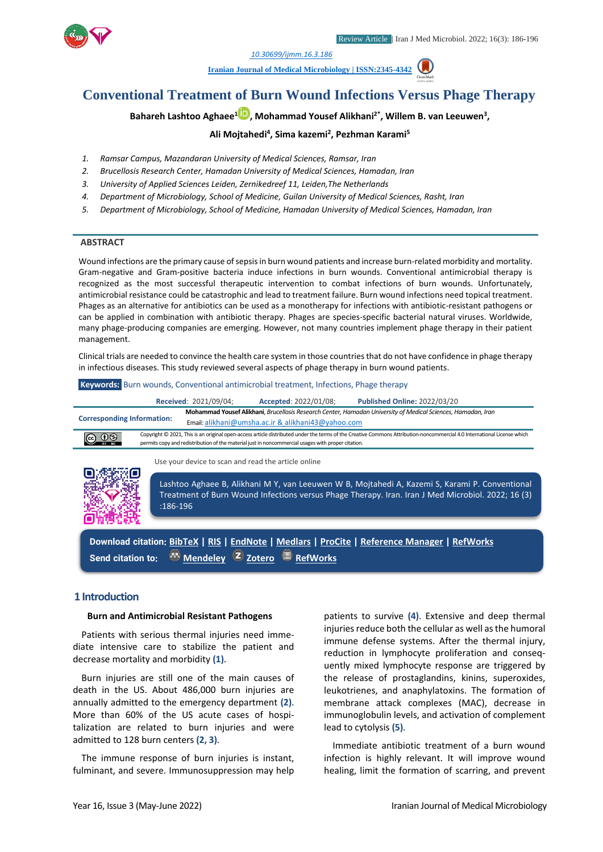

*1. [10.30699/ijmm.16.3.186](http://dx.doi.org/10.30699/ijmm.16.3.186)*

**[Iranian Journal of Medical Microbiology |](https://ijmm.ir/) ISSN:2345-4342**



# **Bahareh Lashtoo Aghaee<sup>1</sup> [,](http://orcid.org/0000000323760064) Mohammad Yousef Alikhani2\*, Willem B. van Leeuwen<sup>3</sup> ,**

## **Ali Mojtahedi<sup>4</sup> , Sima kazemi<sup>2</sup> , Pezhman Karami<sup>5</sup>**

- *1. Ramsar Campus, Mazandaran University of Medical Sciences, Ramsar, Iran*
- *2. Brucellosis Research Center, Hamadan University of Medical Sciences, Hamadan, Iran*
- *3. University of Applied Sciences Leiden, Zernikedreef 11, Leiden,The Netherlands*
- *4. Department of Microbiology, School of Medicine, Guilan University of Medical Sciences, Rasht, Iran*
- *5. Department of Microbiology, School of Medicine, Hamadan University of Medical Sciences, Hamadan, Iran*

### **ABSTRACT**

Wound infections are the primary cause of sepsis in burn wound patients and increase burn-related morbidity and mortality. Gram-negative and Gram-positive bacteria induce infections in burn wounds. Conventional antimicrobial therapy is recognized as the most successful therapeutic intervention to combat infections of burn wounds. Unfortunately, antimicrobial resistance could be catastrophic and lead to treatment failure. Burn wound infections need topical treatment. Phages as an alternative for antibiotics can be used as a monotherapy for infections with antibiotic-resistant pathogens or can be applied in combination with antibiotic therapy. Phages are species-specific bacterial natural viruses. Worldwide, many phage-producing companies are emerging. However, not many countries implement phage therapy in their patient management.

Clinical trials are needed to convince the health care system in those countries that do not have confidence in phage therapy in infectious diseases. This study reviewed several aspects of phage therapy in burn wound patients.

| <b>Keywords:</b> Burn wounds, Conventional antimicrobial treatment, Infections, Phage therapy                                                                                                                                                                                                |  |                       |                       |                                     |  |
|----------------------------------------------------------------------------------------------------------------------------------------------------------------------------------------------------------------------------------------------------------------------------------------------|--|-----------------------|-----------------------|-------------------------------------|--|
|                                                                                                                                                                                                                                                                                              |  | Received: 2021/09/04; | Accepted: 2022/01/08; | <b>Published Online: 2022/03/20</b> |  |
| Mohammad Yousef Alikhani, Brucellosis Research Center, Hamadan University of Medical Sciences, Hamadan, Iran<br><b>Corresponding Information:</b><br>Email: alikhani@umsha.ac.ir & alikhani43@yahoo.com                                                                                      |  |                       |                       |                                     |  |
| Copyright © 2021, This is an original open-access article distributed under the terms of the Creative Commons Attribution-noncommercial 4.0 International License which<br><b>@</b> 0⊗<br>permits copy and redistribution of the material just in noncommercial usages with proper citation. |  |                       |                       |                                     |  |
| Use your device to scan and read the article online<br>电热激酶回                                                                                                                                                                                                                                 |  |                       |                       |                                     |  |



Lashtoo Aghaee B, Alikhani M Y, van Leeuwen W B, Mojtahedi A, Kazemi S, Karami P. Conventional Treatment of Burn Wound Infections versus Phage Therapy. Iran. Iran J Med Microbiol. 2022; 16 (3) :186-196

**Download citation: [BibTeX](https://ijmm.ir/web2export.php?a_code=A-10-1732-2&sid=1&slc_lang=en&type=BibTeX) | [RIS](https://ijmm.ir/web2export.php?a_code=A-10-1732-2&sid=1&slc_lang=en&type=ris) | [EndNote](https://ijmm.ir/web2export.php?a_code=A-10-1732-2&sid=1&slc_lang=en&type=EndNote) | [Medlars](https://ijmm.ir/web2export.php?a_code=A-10-1732-2&sid=1&slc_lang=en&type=Medlars) | [ProCite](https://ijmm.ir/web2export.php?a_code=A-10-1732-2&sid=1&slc_lang=en&type=ProCite) | [Reference Manager](https://ijmm.ir/web2export.php?a_code=A-10-1732-2&sid=1&slc_lang=en&type=Reference_Manager) | [RefWorks](https://ijmm.ir/web2export.php?a_code=A-10-1732-2&sid=1&slc_lang=en&type=RefWorks) Send citation to: [Mendeley](http://www.mendeley.com/import/?url=https://ijmm.ir/article-1-1471-en.html) [Zotero](https://ijmm.ir/web2export.php?a_code=A-10-1732-2&sid=1&slc_lang=en&type=ris) [RefWorks](http://www.refworks.com/express/ExpressImport.asp?vendor=Iran-J-Med-Microbiol&filter=RefWorks%20Tagged%20Format&encoding=65001&url=http%3A%2F%2Fijmm.ir%2Farticle-1-1471-en.html)**

## **1 Introduction**

#### **Burn and Antimicrobial Resistant Pathogens**

Patients with serious thermal injuries need immediate intensive care to stabilize the patient and decrease mortality and morbidity **(1)**.

Burn injuries are still one of the main causes of death in the US. About 486,000 burn injuries are annually admitted to the emergency department **(2)**. More than 60% of the US acute cases of hospitalization are related to burn injuries and were admitted to 128 burn centers **(2, 3)**.

The immune response of burn injuries is instant, fulminant, and severe. Immunosuppression may help patients to survive **(4)**. Extensive and deep thermal injuries reduce both the cellular as well as the humoral immune defense systems. After the thermal injury, reduction in lymphocyte proliferation and consequently mixed lymphocyte response are triggered by the release of prostaglandins, kinins, superoxides, leukotrienes, and anaphylatoxins. The formation of membrane attack complexes (MAC), decrease in immunoglobulin levels, and activation of complement lead to cytolysis **(5)**.

Immediate antibiotic treatment of a burn wound infection is highly relevant. It will improve wound healing, limit the formation of scarring, and prevent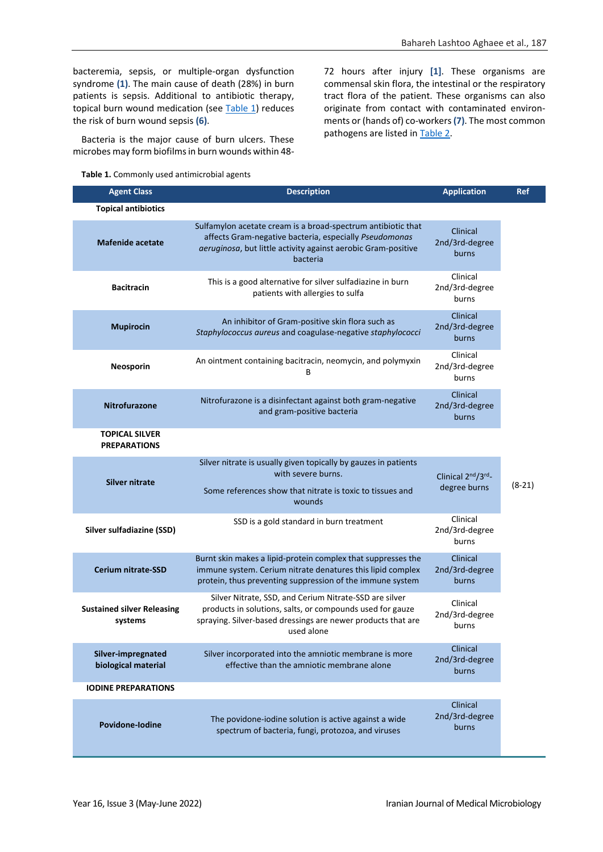bacteremia, sepsis, or multiple-organ dysfunction syndrome **(1)**. The main cause of death (28%) in burn patients is sepsis. Additional to antibiotic therapy, topical burn wound medication (see [Table 1\)](#page-5-0) reduces the risk of burn wound sepsis **(6)**.

Bacteria is the major cause of burn ulcers. These microbes may form biofilms in burn wounds within 48-

**Table 1.** Commonly used antimicrobial agents

72 hours after injury **[1]**. These organisms are commensal skin flora, the intestinal or the respiratory tract flora of the patient. These organisms can also originate from contact with contaminated environments or (hands of) co-workers **(7)**. The most common pathogens are listed i[n Table 2.](#page-2-0)

| <b>Agent Class</b>                           | <b>Description</b>                                                                                                                                                                                  | <b>Application</b>                  | Ref      |
|----------------------------------------------|-----------------------------------------------------------------------------------------------------------------------------------------------------------------------------------------------------|-------------------------------------|----------|
| <b>Topical antibiotics</b>                   |                                                                                                                                                                                                     |                                     |          |
| <b>Mafenide acetate</b>                      | Sulfamylon acetate cream is a broad-spectrum antibiotic that<br>affects Gram-negative bacteria, especially Pseudomonas<br>aeruginosa, but little activity against aerobic Gram-positive<br>bacteria | Clinical<br>2nd/3rd-degree<br>burns |          |
| <b>Bacitracin</b>                            | This is a good alternative for silver sulfadiazine in burn<br>patients with allergies to sulfa                                                                                                      | Clinical<br>2nd/3rd-degree<br>burns |          |
| <b>Mupirocin</b>                             | An inhibitor of Gram-positive skin flora such as<br>Staphylococcus aureus and coagulase-negative staphylococci                                                                                      | Clinical<br>2nd/3rd-degree<br>burns |          |
| Neosporin                                    | An ointment containing bacitracin, neomycin, and polymyxin<br>В                                                                                                                                     | Clinical<br>2nd/3rd-degree<br>burns |          |
| <b>Nitrofurazone</b>                         | Nitrofurazone is a disinfectant against both gram-negative<br>and gram-positive bacteria                                                                                                            | Clinical<br>2nd/3rd-degree<br>burns |          |
| <b>TOPICAL SILVER</b><br><b>PREPARATIONS</b> |                                                                                                                                                                                                     |                                     |          |
| <b>Silver nitrate</b>                        | Silver nitrate is usually given topically by gauzes in patients<br>with severe burns.<br>Some references show that nitrate is toxic to tissues and<br>wounds                                        | Clinical 2nd/3rd_<br>degree burns   | $(8-21)$ |
| Silver sulfadiazine (SSD)                    | SSD is a gold standard in burn treatment                                                                                                                                                            | Clinical<br>2nd/3rd-degree<br>burns |          |
| <b>Cerium nitrate-SSD</b>                    | Burnt skin makes a lipid-protein complex that suppresses the<br>immune system. Cerium nitrate denatures this lipid complex<br>protein, thus preventing suppression of the immune system             | Clinical<br>2nd/3rd-degree<br>burns |          |
| <b>Sustained silver Releasing</b><br>systems | Silver Nitrate, SSD, and Cerium Nitrate-SSD are silver<br>products in solutions, salts, or compounds used for gauze<br>spraying. Silver-based dressings are newer products that are<br>used alone   | Clinical<br>2nd/3rd-degree<br>burns |          |
| Silver-impregnated<br>biological material    | Silver incorporated into the amniotic membrane is more<br>effective than the amniotic membrane alone                                                                                                | Clinical<br>2nd/3rd-degree<br>burns |          |
| <b>IODINE PREPARATIONS</b>                   |                                                                                                                                                                                                     |                                     |          |
| Povidone-Iodine                              | The povidone-iodine solution is active against a wide<br>spectrum of bacteria, fungi, protozoa, and viruses                                                                                         | Clinical<br>2nd/3rd-degree<br>burns |          |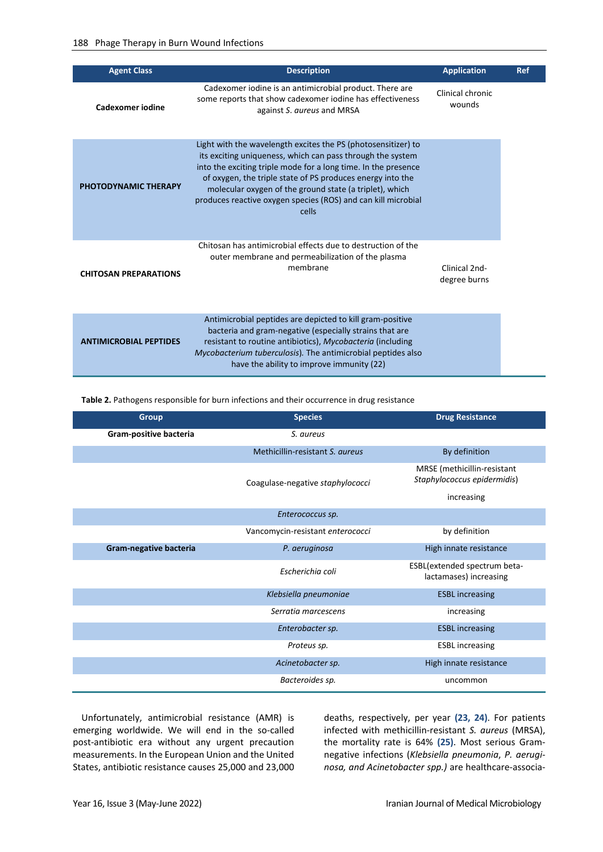| <b>Agent Class</b>            | <b>Description</b>                                                                                                                                                                                                                                                                                                                                                                               | <b>Application</b>            | Ref |
|-------------------------------|--------------------------------------------------------------------------------------------------------------------------------------------------------------------------------------------------------------------------------------------------------------------------------------------------------------------------------------------------------------------------------------------------|-------------------------------|-----|
| Cadexomer jodine              | Cadexomer iodine is an antimicrobial product. There are<br>some reports that show cadexomer iodine has effectiveness<br>against S. aureus and MRSA                                                                                                                                                                                                                                               | Clinical chronic<br>wounds    |     |
| <b>PHOTODYNAMIC THERAPY</b>   | Light with the wavelength excites the PS (photosensitizer) to<br>its exciting uniqueness, which can pass through the system<br>into the exciting triple mode for a long time. In the presence<br>of oxygen, the triple state of PS produces energy into the<br>molecular oxygen of the ground state (a triplet), which<br>produces reactive oxygen species (ROS) and can kill microbial<br>cells |                               |     |
| <b>CHITOSAN PREPARATIONS</b>  | Chitosan has antimicrobial effects due to destruction of the<br>outer membrane and permeabilization of the plasma<br>membrane                                                                                                                                                                                                                                                                    | Clinical 2nd-<br>degree burns |     |
| <b>ANTIMICROBIAL PEPTIDES</b> | Antimicrobial peptides are depicted to kill gram-positive<br>bacteria and gram-negative (especially strains that are<br>resistant to routine antibiotics), Mycobacteria (including<br>Mycobacterium tuberculosis). The antimicrobial peptides also<br>have the ability to improve immunity (22)                                                                                                  |                               |     |

<span id="page-2-0"></span>**Table 2.** Pathogens responsible for burn infections and their occurrence in drug resistance

| <b>Group</b>           | <b>Species</b>                   | <b>Drug Resistance</b>                                     |
|------------------------|----------------------------------|------------------------------------------------------------|
| Gram-positive bacteria | S. aureus                        |                                                            |
|                        | Methicillin-resistant S. aureus  | By definition                                              |
|                        | Coagulase-negative staphylococci | MRSE (methicillin-resistant<br>Staphylococcus epidermidis) |
|                        |                                  | increasing                                                 |
|                        | Enterococcus sp.                 |                                                            |
|                        | Vancomycin-resistant enterococci | by definition                                              |
| Gram-negative bacteria | P. aeruginosa                    | High innate resistance                                     |
|                        | Escherichia coli                 | ESBL(extended spectrum beta-<br>lactamases) increasing     |
|                        | Klebsiella pneumoniae            | <b>ESBL</b> increasing                                     |
|                        | Serratia marcescens              | increasing                                                 |
|                        | Enterobacter sp.                 | <b>ESBL</b> increasing                                     |
|                        | Proteus sp.                      | <b>ESBL</b> increasing                                     |
|                        | Acinetobacter sp.                | High innate resistance                                     |
|                        | Bacteroides sp.                  | uncommon                                                   |

Unfortunately, antimicrobial resistance (AMR) is emerging worldwide. We will end in the so-called post-antibiotic era without any urgent precaution measurements. In the European Union and the United States, antibiotic resistance causes 25,000 and 23,000 deaths, respectively, per year **(23, 24)**. For patients infected with methicillin-resistant *S. aureus* (MRSA), the mortality rate is 64% **(25)**. Most serious Gramnegative infections (*Klebsiella pneumonia*, *P. aeruginosa, and Acinetobacter spp.)* are healthcare-associa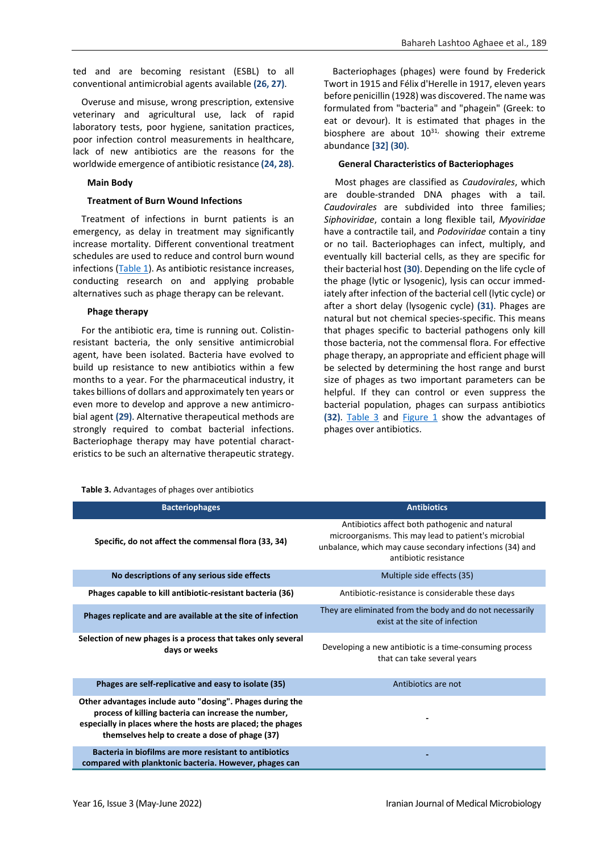ted and are becoming resistant (ESBL) to all conventional antimicrobial agents available **(26, 27)**.

Overuse and misuse, wrong prescription, extensive veterinary and agricultural use, lack of rapid laboratory tests, poor hygiene, sanitation practices, poor infection control measurements in healthcare, lack of new antibiotics are the reasons for the worldwide emergence of antibiotic resistance **(24, 28)**.

#### **Main Body**

#### **Treatment of Burn Wound Infections**

Treatment of infections in burnt patients is an emergency, as delay in treatment may significantly increase mortality. Different conventional treatment schedules are used to reduce and control burn wound infections [\(Table 1\)](#page-5-0). As antibiotic resistance increases, conducting research on and applying probable alternatives such as phage therapy can be relevant.

#### **Phage therapy**

For the antibiotic era, time is running out. Colistinresistant bacteria, the only sensitive antimicrobial agent, have been isolated. Bacteria have evolved to build up resistance to new antibiotics within a few months to a year. For the pharmaceutical industry, it takes billions of dollars and approximately ten years or even more to develop and approve a new antimicrobial agent **(29)**. Alternative therapeutical methods are strongly required to combat bacterial infections. Bacteriophage therapy may have potential characteristics to be such an alternative therapeutic strategy.

<span id="page-3-0"></span>**Table 3.** Advantages of phages over antibiotics

Bacteriophages (phages) were found by Frederick Twort in 1915 and Félix d'Herelle in 1917, eleven years before penicillin (1928) was discovered. The name was formulated from "bacteria" and "phagein" (Greek: to eat or devour). It is estimated that phages in the biosphere are about  $10^{31}$ , showing their extreme abundance **[32] (30)**.

#### **General Characteristics of Bacteriophages**

Most phages are classified as *Caudovirales*, which are double-stranded DNA phages with a tail. *Caudovirales* are subdivided into three families; *Siphoviridae*, contain a long flexible tail, *Myoviridae* have a contractile tail, and *Podoviridae* contain a tiny or no tail. Bacteriophages can infect, multiply, and eventually kill bacterial cells, as they are specific for their bacterial host **(30)**. Depending on the life cycle of the phage (lytic or lysogenic), lysis can occur immediately after infection of the bacterial cell (lytic cycle) or after a short delay (lysogenic cycle) **(31)**. Phages are natural but not chemical species-specific. This means that phages specific to bacterial pathogens only kill those bacteria, not the commensal flora. For effective phage therapy, an appropriate and efficient phage will be selected by determining the host range and burst size of phages as two important parameters can be helpful. If they can control or even suppress the bacterial population, phages can surpass antibiotics **(32)**. [Table 3](#page-3-0) and [Figure 1](#page-4-0) show the advantages of phages over antibiotics.

| <b>Bacteriophages</b>                                                                                                                                                                                                              | <b>Antibiotics</b>                                                                                                                                                                          |
|------------------------------------------------------------------------------------------------------------------------------------------------------------------------------------------------------------------------------------|---------------------------------------------------------------------------------------------------------------------------------------------------------------------------------------------|
| Specific, do not affect the commensal flora (33, 34)                                                                                                                                                                               | Antibiotics affect both pathogenic and natural<br>microorganisms. This may lead to patient's microbial<br>unbalance, which may cause secondary infections (34) and<br>antibiotic resistance |
| No descriptions of any serious side effects                                                                                                                                                                                        | Multiple side effects (35)                                                                                                                                                                  |
| Phages capable to kill antibiotic-resistant bacteria (36)                                                                                                                                                                          | Antibiotic-resistance is considerable these days                                                                                                                                            |
| Phages replicate and are available at the site of infection                                                                                                                                                                        | They are eliminated from the body and do not necessarily<br>exist at the site of infection                                                                                                  |
| Selection of new phages is a process that takes only several<br>days or weeks                                                                                                                                                      | Developing a new antibiotic is a time-consuming process<br>that can take several years                                                                                                      |
| Phages are self-replicative and easy to isolate (35)                                                                                                                                                                               | Antibiotics are not                                                                                                                                                                         |
| Other advantages include auto "dosing". Phages during the<br>process of killing bacteria can increase the number,<br>especially in places where the hosts are placed; the phages<br>themselves help to create a dose of phage (37) |                                                                                                                                                                                             |
| Bacteria in biofilms are more resistant to antibiotics<br>compared with planktonic bacteria. However, phages can                                                                                                                   |                                                                                                                                                                                             |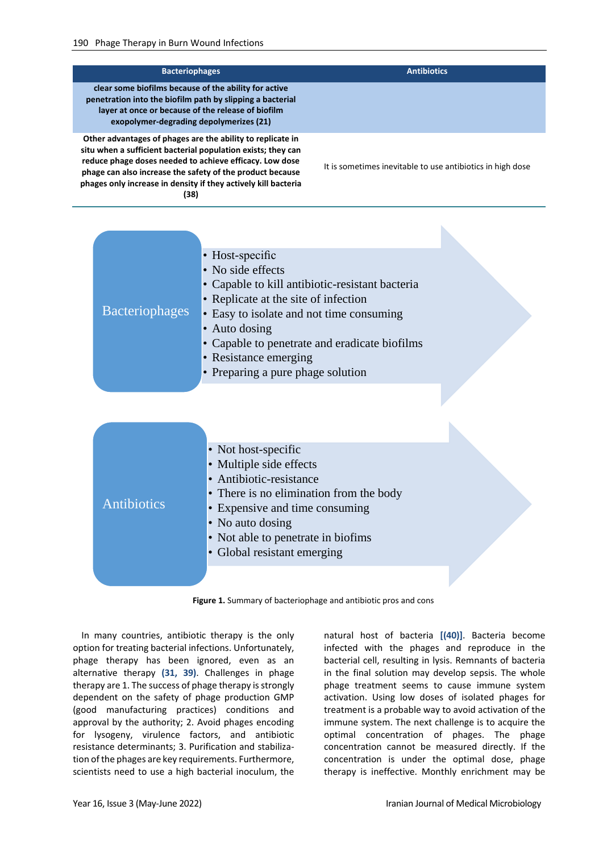| <b>Bacteriophages</b>                                                                                                                                                                                                                                                                                                        | <b>Antibiotics</b>                                         |
|------------------------------------------------------------------------------------------------------------------------------------------------------------------------------------------------------------------------------------------------------------------------------------------------------------------------------|------------------------------------------------------------|
| clear some biofilms because of the ability for active<br>penetration into the biofilm path by slipping a bacterial<br>layer at once or because of the release of biofilm<br>exopolymer-degrading depolymerizes (21)                                                                                                          |                                                            |
| Other advantages of phages are the ability to replicate in<br>situ when a sufficient bacterial population exists; they can<br>reduce phage doses needed to achieve efficacy. Low dose<br>phage can also increase the safety of the product because<br>phages only increase in density if they actively kill bacteria<br>(38) | It is sometimes inevitable to use antibiotics in high dose |

| <b>Bacteriophages</b> | • Host-specific<br>• No side effects<br>• Capable to kill antibiotic-resistant bacteria<br>• Replicate at the site of infection<br>• Easy to isolate and not time consuming<br>• Auto dosing<br>• Capable to penetrate and eradicate biofilms<br>• Resistance emerging<br>• Preparing a pure phage solution |  |
|-----------------------|-------------------------------------------------------------------------------------------------------------------------------------------------------------------------------------------------------------------------------------------------------------------------------------------------------------|--|
|                       |                                                                                                                                                                                                                                                                                                             |  |
| <b>Antibiotics</b>    | • Not host-specific<br>• Multiple side effects<br>• Antibiotic-resistance<br>• There is no elimination from the body<br>• Expensive and time consuming<br>• No auto dosing<br>• Not able to penetrate in biofims<br>• Global resistant emerging                                                             |  |

**Figure 1.** Summary of bacteriophage and antibiotic pros and cons

<span id="page-4-0"></span>In many countries, antibiotic therapy is the only option for treating bacterial infections. Unfortunately, phage therapy has been ignored, even as an alternative therapy **(31, 39)**. Challenges in phage therapy are 1. The success of phage therapy is strongly dependent on the safety of phage production GMP (good manufacturing practices) conditions and approval by the authority; 2. Avoid phages encoding for lysogeny, virulence factors, and antibiotic resistance determinants; 3. Purification and stabilization of the phages are key requirements. Furthermore, scientists need to use a high bacterial inoculum, the

natural host of bacteria **[(40)]**. Bacteria become infected with the phages and reproduce in the bacterial cell, resulting in lysis. Remnants of bacteria in the final solution may develop sepsis. The whole phage treatment seems to cause immune system activation. Using low doses of isolated phages for treatment is a probable way to avoid activation of the immune system. The next challenge is to acquire the optimal concentration of phages. The phage concentration cannot be measured directly. If the concentration is under the optimal dose, phage therapy is ineffective. Monthly enrichment may be

N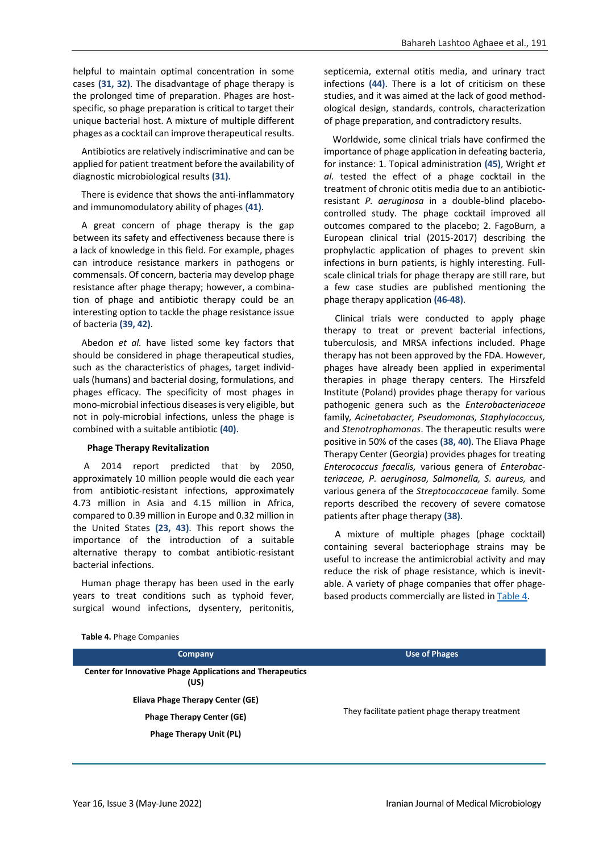helpful to maintain optimal concentration in some cases **(31, 32)**. The disadvantage of phage therapy is the prolonged time of preparation. Phages are hostspecific, so phage preparation is critical to target their unique bacterial host. A mixture of multiple different phages as a cocktail can improve therapeutical results.

Antibiotics are relatively indiscriminative and can be applied for patient treatment before the availability of diagnostic microbiological results **(31)**.

There is evidence that shows the anti-inflammatory and immunomodulatory ability of phages **(41)**.

A great concern of phage therapy is the gap between its safety and effectiveness because there is a lack of knowledge in this field. For example, phages can introduce resistance markers in pathogens or commensals. Of concern, bacteria may develop phage resistance after phage therapy; however, a combination of phage and antibiotic therapy could be an interesting option to tackle the phage resistance issue of bacteria **(39, 42)**.

Abedon *et al.* have listed some key factors that should be considered in phage therapeutical studies, such as the characteristics of phages, target individuals (humans) and bacterial dosing, formulations, and phages efficacy. The specificity of most phages in mono-microbial infectious diseases is very eligible, but not in poly-microbial infections, unless the phage is combined with a suitable antibiotic **(40)**.

#### **Phage Therapy Revitalization**

A 2014 report predicted that by 2050, approximately 10 million people would die each year from antibiotic-resistant infections, approximately 4.73 million in Asia and 4.15 million in Africa, compared to 0.39 million in Europe and 0.32 million in the United States **(23, 43)**. This report shows the importance of the introduction of a suitable alternative therapy to combat antibiotic-resistant bacterial infections.

Human phage therapy has been used in the early years to treat conditions such as typhoid fever, surgical wound infections, dysentery, peritonitis,

septicemia, external otitis media, and urinary tract infections **(44)**. There is a lot of criticism on these studies, and it was aimed at the lack of good methodological design, standards, controls, characterization of phage preparation, and contradictory results.

Worldwide, some clinical trials have confirmed the importance of phage application in defeating bacteria, for instance: 1. Topical administration **(45)**, Wright *et al.* tested the effect of a phage cocktail in the treatment of chronic otitis media due to an antibioticresistant *P. aeruginosa* in a double-blind placebocontrolled study. The phage cocktail improved all outcomes compared to the placebo; 2. FagoBurn, a European clinical trial (2015-2017) describing the prophylactic application of phages to prevent skin infections in burn patients, is highly interesting. Fullscale clinical trials for phage therapy are still rare, but a few case studies are published mentioning the phage therapy application **(46-48)**.

Clinical trials were conducted to apply phage therapy to treat or prevent bacterial infections, tuberculosis, and MRSA infections included. Phage therapy has not been approved by the FDA. However, phages have already been applied in experimental therapies in phage therapy centers. The Hirszfeld Institute (Poland) provides phage therapy for various pathogenic genera such as the *Enterobacteriaceae*  family*, Acinetobacter, Pseudomonas, Staphylococcus,* and *Stenotrophomonas*. The therapeutic results were positive in 50% of the cases **(38, 40)**. The Eliava Phage Therapy Center (Georgia) provides phages for treating *Enterococcus faecalis,* various genera of *Enterobacteriaceae, P. aeruginosa, Salmonella, S. aureus,* and various genera of the *Streptococcaceae* family. Some reports described the recovery of severe comatose patients after phage therapy **(38)**.

A mixture of multiple phages (phage cocktail) containing several bacteriophage strains may be useful to increase the antimicrobial activity and may reduce the risk of phage resistance, which is inevitable. A variety of phage companies that offer phagebased products commercially are listed in [Table 4.](#page-5-0)

| Company                                                                  | <b>Use of Phages</b>                            |  |
|--------------------------------------------------------------------------|-------------------------------------------------|--|
| <b>Center for Innovative Phage Applications and Therapeutics</b><br>(US) |                                                 |  |
| Eliava Phage Therapy Center (GE)                                         | They facilitate patient phage therapy treatment |  |
| <b>Phage Therapy Center (GE)</b>                                         |                                                 |  |
| <b>Phage Therapy Unit (PL)</b>                                           |                                                 |  |
|                                                                          |                                                 |  |

<span id="page-5-0"></span>**Table 4.** Phage Companies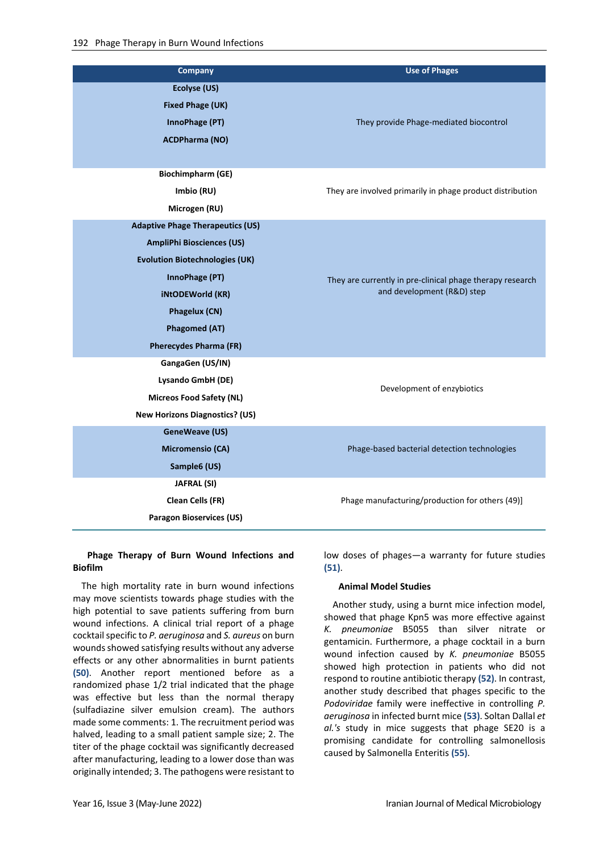| <b>Company</b>                          | <b>Use of Phages</b>                                      |  |
|-----------------------------------------|-----------------------------------------------------------|--|
| Ecolyse (US)                            |                                                           |  |
| <b>Fixed Phage (UK)</b>                 |                                                           |  |
| InnoPhage (PT)                          | They provide Phage-mediated biocontrol                    |  |
| <b>ACDPharma (NO)</b>                   |                                                           |  |
|                                         |                                                           |  |
| <b>Biochimpharm (GE)</b>                |                                                           |  |
| Imbio (RU)                              | They are involved primarily in phage product distribution |  |
| Microgen (RU)                           |                                                           |  |
| <b>Adaptive Phage Therapeutics (US)</b> |                                                           |  |
| <b>AmpliPhi Biosciences (US)</b>        |                                                           |  |
| <b>Evolution Biotechnologies (UK)</b>   |                                                           |  |
| InnoPhage (PT)                          | They are currently in pre-clinical phage therapy research |  |
| <b>iNtODEWorld (KR)</b>                 | and development (R&D) step                                |  |
| Phagelux (CN)                           |                                                           |  |
| <b>Phagomed (AT)</b>                    |                                                           |  |
| <b>Pherecydes Pharma (FR)</b>           |                                                           |  |
| GangaGen (US/IN)                        |                                                           |  |
| Lysando GmbH (DE)                       | Development of enzybiotics                                |  |
| <b>Micreos Food Safety (NL)</b>         |                                                           |  |
| <b>New Horizons Diagnostics? (US)</b>   |                                                           |  |
| <b>GeneWeave (US)</b>                   |                                                           |  |
| Micromensio (CA)                        | Phage-based bacterial detection technologies              |  |
| Sample6 (US)                            |                                                           |  |
| JAFRAL (SI)                             |                                                           |  |
| <b>Clean Cells (FR)</b>                 | Phage manufacturing/production for others (49)]           |  |
| Paragon Bioservices (US)                |                                                           |  |

## **Phage Therapy of Burn Wound Infections and Biofilm**

The high mortality rate in burn wound infections may move scientists towards phage studies with the high potential to save patients suffering from burn wound infections. A clinical trial report of a phage cocktail specific to *P. aeruginosa* and *S. aureus* on burn wounds showed satisfying results without any adverse effects or any other abnormalities in burnt patients **(50)**. Another report mentioned before as a randomized phase 1/2 trial indicated that the phage was effective but less than the normal therapy (sulfadiazine silver emulsion cream). The authors made some comments: 1. The recruitment period was halved, leading to a small patient sample size; 2. The titer of the phage cocktail was significantly decreased after manufacturing, leading to a lower dose than was originally intended; 3. The pathogens were resistant to

low doses of phages—a warranty for future studies **(51)**.

#### **Animal Model Studies**

Another study, using a burnt mice infection model, showed that phage Kpn5 was more effective against *K. pneumoniae* B5055 than silver nitrate or gentamicin. Furthermore, a phage cocktail in a burn wound infection caused by *K. pneumoniae* B5055 showed high protection in patients who did not respond to routine antibiotic therapy **(52)**. In contrast, another study described that phages specific to the *Podoviridae* family were ineffective in controlling *P. aeruginosa* in infected burnt mice **(53)**. Soltan Dallal *et al.'s* study in mice suggests that phage SE20 is a promising candidate for controlling salmonellosis caused by Salmonella Enteritis **(55)**.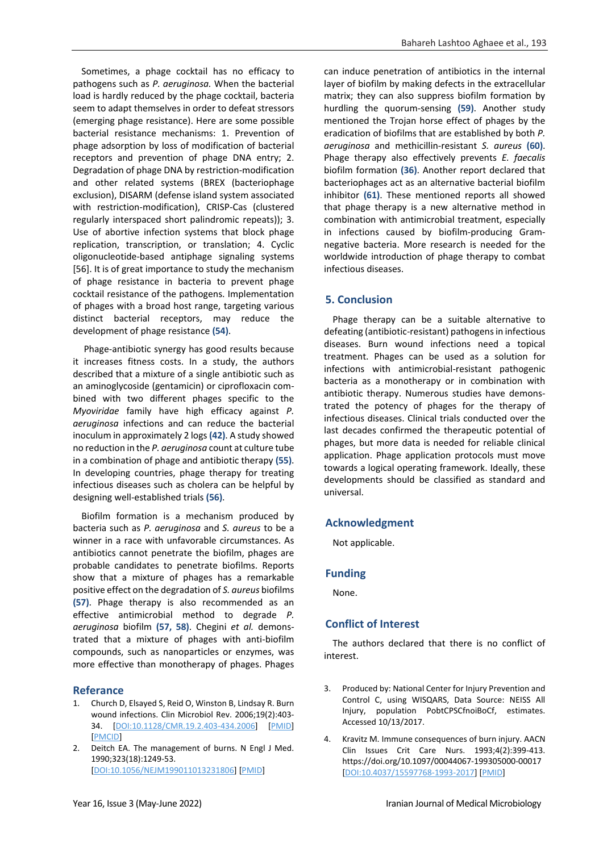Sometimes, a phage cocktail has no efficacy to pathogens such as *P. aeruginosa.* When the bacterial load is hardly reduced by the phage cocktail, bacteria seem to adapt themselves in order to defeat stressors (emerging phage resistance). Here are some possible bacterial resistance mechanisms: 1. Prevention of phage adsorption by loss of modification of bacterial receptors and prevention of phage DNA entry; 2. Degradation of phage DNA by restriction-modification and other related systems (BREX (bacteriophage exclusion), DISARM (defense island system associated with restriction-modification), CRISP-Cas (clustered regularly interspaced short palindromic repeats)); 3. Use of abortive infection systems that block phage replication, transcription, or translation; 4. Cyclic oligonucleotide-based antiphage signaling systems [56]. It is of great importance to study the mechanism of phage resistance in bacteria to prevent phage cocktail resistance of the pathogens. Implementation of phages with a broad host range, targeting various distinct bacterial receptors, may reduce the development of phage resistance **(54)**.

Phage-antibiotic synergy has good results because it increases fitness costs. In a study, the authors described that a mixture of a single antibiotic such as an aminoglycoside (gentamicin) or ciprofloxacin combined with two different phages specific to the *Myoviridae* family have high efficacy against *P. aeruginosa* infections and can reduce the bacterial inoculum in approximately 2 logs **(42)**. A study showed no reduction in the *P. aeruginosa* count at culture tube in a combination of phage and antibiotic therapy **(55)**. In developing countries, phage therapy for treating infectious diseases such as cholera can be helpful by designing well-established trials **(56)**.

Biofilm formation is a mechanism produced by bacteria such as *P. aeruginosa* and *S. aureus* to be a winner in a race with unfavorable circumstances. As antibiotics cannot penetrate the biofilm, phages are probable candidates to penetrate biofilms. Reports show that a mixture of phages has a remarkable positive effect on the degradation of *S. aureus* biofilms **(57)**. Phage therapy is also recommended as an effective antimicrobial method to degrade *P. aeruginosa* biofilm **(57, 58)**. Chegini *et al.* demonstrated that a mixture of phages with anti-biofilm compounds, such as nanoparticles or enzymes, was more effective than monotherapy of phages. Phages

## **Referance**

- 1. Church D, Elsayed S, Reid O, Winston B, Lindsay R. Burn wound infections. Clin Microbiol Rev. 2006;19(2):403- 34. [\[DOI:10.1128/CMR.19.2.403-434.2006\]](https://doi.org/10.1128/CMR.19.2.403-434.2006) [\[PMID\]](https://www.ncbi.nlm.nih.gov/pubmed/16614255) [\[PMCID\]](http://www.ncbi.nlm.nih.gov/pmc/articles/PMC1471990)
- 2. Deitch EA. The management of burns. N Engl J Med. 1990;323(18):1249-53. [\[DOI:10.1056/NEJM199011013231806\]](https://doi.org/10.1056/NEJM199011013231806) [\[PMID\]](https://www.ncbi.nlm.nih.gov/pubmed/2120587)

can induce penetration of antibiotics in the internal layer of biofilm by making defects in the extracellular matrix; they can also suppress biofilm formation by hurdling the quorum-sensing **(59)**. Another study mentioned the Trojan horse effect of phages by the eradication of biofilms that are established by both *P. aeruginosa* and methicillin-resistant *S. aureus* **(60)**. Phage therapy also effectively prevents *E. faecalis*  biofilm formation **(36)**. Another report declared that bacteriophages act as an alternative bacterial biofilm inhibitor **(61)**. These mentioned reports all showed that phage therapy is a new alternative method in combination with antimicrobial treatment, especially in infections caused by biofilm-producing Gramnegative bacteria. More research is needed for the worldwide introduction of phage therapy to combat infectious diseases.

## **5. Conclusion**

Phage therapy can be a suitable alternative to defeating (antibiotic-resistant) pathogens in infectious diseases. Burn wound infections need a topical treatment. Phages can be used as a solution for infections with antimicrobial-resistant pathogenic bacteria as a monotherapy or in combination with antibiotic therapy. Numerous studies have demonstrated the potency of phages for the therapy of infectious diseases. Clinical trials conducted over the last decades confirmed the therapeutic potential of phages, but more data is needed for reliable clinical application. Phage application protocols must move towards a logical operating framework. Ideally, these developments should be classified as standard and universal.

## **Acknowledgment**

Not applicable.

## **Funding**

None.

# **Conflict of Interest**

The authors declared that there is no conflict of interest.

- 3. Produced by: National Center for Injury Prevention and Control C, using WISQARS, Data Source: NEISS All Injury, population PobtCPSCfnoiBoCf, estimates. Accessed 10/13/2017.
- 4. Kravitz M. Immune consequences of burn injury. AACN Clin Issues Crit Care Nurs. 1993;4(2):399-413. https://doi.org/10.1097/00044067-199305000-00017 [\[DOI:10.4037/15597768-1993-2017\]](https://doi.org/10.4037/15597768-1993-2017) [\[PMID\]](https://www.ncbi.nlm.nih.gov/pubmed/8489886)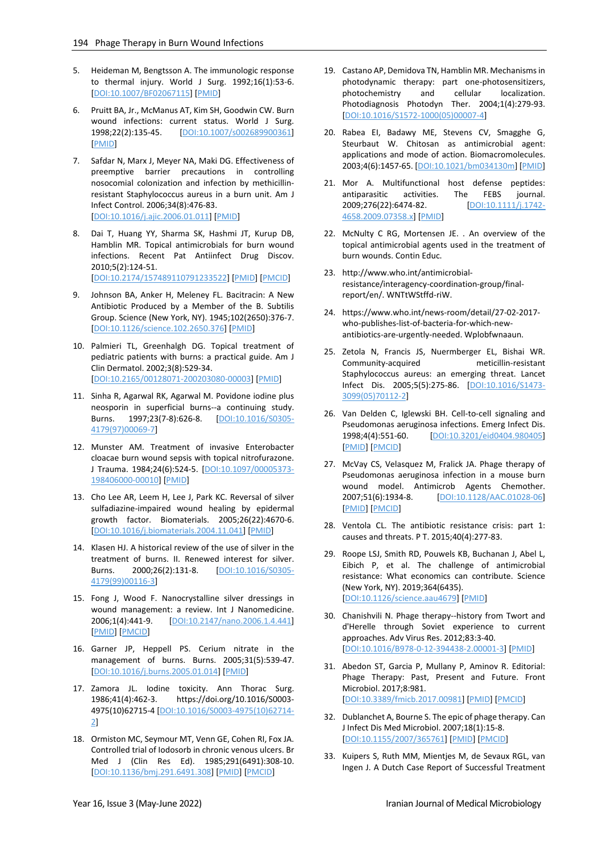- 5. Heideman M, Bengtsson A. The immunologic response to thermal injury. World J Surg. 1992;16(1):53-6. [\[DOI:10.1007/BF02067115\]](https://doi.org/10.1007/BF02067115) [\[PMID\]](https://www.ncbi.nlm.nih.gov/pubmed/1290267)
- 6. Pruitt BA, Jr., McManus AT, Kim SH, Goodwin CW. Burn wound infections: current status. World J Surg. 1998;22(2):135-45. [\[DOI:10.1007/s002689900361\]](https://doi.org/10.1007/s002689900361) [\[PMID\]](https://www.ncbi.nlm.nih.gov/pubmed/9451928)
- 7. Safdar N, Marx J, Meyer NA, Maki DG. Effectiveness of preemptive barrier precautions in controlling nosocomial colonization and infection by methicillinresistant Staphylococcus aureus in a burn unit. Am J Infect Control. 2006;34(8):476-83. [\[DOI:10.1016/j.ajic.2006.01.011\]](https://doi.org/10.1016/j.ajic.2006.01.011) [\[PMID\]](https://www.ncbi.nlm.nih.gov/pubmed/17015152)
- 8. Dai T, Huang YY, Sharma SK, Hashmi JT, Kurup DB, Hamblin MR. Topical antimicrobials for burn wound infections. Recent Pat Antiinfect Drug Discov. 2010;5(2):124-51. [\[DOI:10.2174/157489110791233522\]](https://doi.org/10.2174/157489110791233522) [\[PMID\]](https://www.ncbi.nlm.nih.gov/pubmed/20429870) [\[PMCID\]](http://www.ncbi.nlm.nih.gov/pmc/articles/PMC2935806)
- 9. Johnson BA, Anker H, Meleney FL. Bacitracin: A New Antibiotic Produced by a Member of the B. Subtilis Group. Science (New York, NY). 1945;102(2650):376-7. [\[DOI:10.1126/science.102.2650.376\]](https://doi.org/10.1126/science.102.2650.376) [\[PMID\]](https://www.ncbi.nlm.nih.gov/pubmed/17770204)
- 10. Palmieri TL, Greenhalgh DG. Topical treatment of pediatric patients with burns: a practical guide. Am J Clin Dermatol. 2002;3(8):529-34. [\[DOI:10.2165/00128071-200203080-00003\]](https://doi.org/10.2165/00128071-200203080-00003) [\[PMID\]](https://www.ncbi.nlm.nih.gov/pubmed/12358554)
- 11. Sinha R, Agarwal RK, Agarwal M. Povidone iodine plus neosporin in superficial burns--a continuing study. Burns. 1997;23(7-8):626-8. [\[DOI:10.1016/S0305-](https://doi.org/10.1016/S0305-4179(97)00069-7) [4179\(97\)00069-7\]](https://doi.org/10.1016/S0305-4179(97)00069-7)
- 12. Munster AM. Treatment of invasive Enterobacter cloacae burn wound sepsis with topical nitrofurazone. J Trauma. 1984;24(6):524-5. [\[DOI:10.1097/00005373-](https://doi.org/10.1097/00005373-198406000-00010) [198406000-00010\]](https://doi.org/10.1097/00005373-198406000-00010) [\[PMID\]](https://www.ncbi.nlm.nih.gov/pubmed/6737529)
- 13. Cho Lee AR, Leem H, Lee J, Park KC. Reversal of silver sulfadiazine-impaired wound healing by epidermal growth factor. Biomaterials. 2005;26(22):4670-6. [\[DOI:10.1016/j.biomaterials.2004.11.041\]](https://doi.org/10.1016/j.biomaterials.2004.11.041) [\[PMID\]](https://www.ncbi.nlm.nih.gov/pubmed/15722137)
- 14. Klasen HJ. A historical review of the use of silver in the treatment of burns. II. Renewed interest for silver. Burns. 2000;26(2):131-8. **DOI:10.1016/S0305-**[4179\(99\)00116-3\]](https://doi.org/10.1016/S0305-4179(99)00116-3)
- 15. Fong J, Wood F. Nanocrystalline silver dressings in wound management: a review. Int J Nanomedicine. 2006;1(4):441-9. [\[DOI:10.2147/nano.2006.1.4.441\]](https://doi.org/10.2147/nano.2006.1.4.441) [\[PMID\]](https://www.ncbi.nlm.nih.gov/pubmed/17722278) [\[PMCID\]](http://www.ncbi.nlm.nih.gov/pmc/articles/PMC2676636)
- 16. Garner JP, Heppell PS. Cerium nitrate in the management of burns. Burns. 2005;31(5):539-47. [\[DOI:10.1016/j.burns.2005.01.014\]](https://doi.org/10.1016/j.burns.2005.01.014) [\[PMID\]](https://www.ncbi.nlm.nih.gov/pubmed/15955636)
- 17. Zamora JL. Iodine toxicity. Ann Thorac Surg. 1986;41(4):462-3. https://doi.org/10.1016/S0003- 4975(10)62715-4 [\[DOI:10.1016/S0003-4975\(10\)62714-](https://doi.org/10.1016/S0003-4975(10)62714-2) [2\]](https://doi.org/10.1016/S0003-4975(10)62714-2)
- 18. Ormiston MC, Seymour MT, Venn GE, Cohen RI, Fox JA. Controlled trial of Iodosorb in chronic venous ulcers. Br Med J (Clin Res Ed). 1985;291(6491):308-10. [\[DOI:10.1136/bmj.291.6491.308\]](https://doi.org/10.1136/bmj.291.6491.308) [\[PMID\]](https://www.ncbi.nlm.nih.gov/pubmed/3926169) [\[PMCID\]](http://www.ncbi.nlm.nih.gov/pmc/articles/PMC1416577)
- 19. Castano AP, Demidova TN, Hamblin MR. Mechanisms in photodynamic therapy: part one-photosensitizers, photochemistry and cellular localization. Photodiagnosis Photodyn Ther. 2004;1(4):279-93. [\[DOI:10.1016/S1572-1000\(05\)00007-4\]](https://doi.org/10.1016/S1572-1000(05)00007-4)
- 20. Rabea EI, Badawy ME, Stevens CV, Smagghe G, Steurbaut W. Chitosan as antimicrobial agent: applications and mode of action. Biomacromolecules. 2003;4(6):1457-65. [\[DOI:10.1021/bm034130m\]](https://doi.org/10.1021/bm034130m) [\[PMID\]](https://www.ncbi.nlm.nih.gov/pubmed/14606868)
- 21. Mor A. Multifunctional host defense peptides: antiparasitic activities. The FEBS journal. 2009;276(22):6474-82. [\[DOI:10.1111/j.1742-](https://doi.org/10.1111/j.1742-4658.2009.07358.x) [4658.2009.07358.x\]](https://doi.org/10.1111/j.1742-4658.2009.07358.x) [\[PMID\]](https://www.ncbi.nlm.nih.gov/pubmed/19817857)
- 22. McNulty C RG, Mortensen JE. . An overview of the topical antimicrobial agents used in the treatment of burn wounds. Contin Educ.
- 23. http://www.who.int/antimicrobialresistance/interagency-coordination-group/finalreport/en/. WNTtWStffd-riW.
- 24. https://www.who.int/news-room/detail/27-02-2017 who-publishes-list-of-bacteria-for-which-newantibiotics-are-urgently-needed. Wplobfwnaaun.
- 25. Zetola N, Francis JS, Nuermberger EL, Bishai WR. Community-acquired meticillin-resistant Staphylococcus aureus: an emerging threat. Lancet Infect Dis. 2005;5(5):275-86. [\[DOI:10.1016/S1473-](https://doi.org/10.1016/S1473-3099(05)70112-2) [3099\(05\)70112-2\]](https://doi.org/10.1016/S1473-3099(05)70112-2)
- 26. Van Delden C, Iglewski BH. Cell-to-cell signaling and Pseudomonas aeruginosa infections. Emerg Infect Dis. 1998;4(4):551-60. [\[DOI:10.3201/eid0404.980405\]](https://doi.org/10.3201/eid0404.980405) [\[PMID\]](https://www.ncbi.nlm.nih.gov/pubmed/9866731) [\[PMCID\]](http://www.ncbi.nlm.nih.gov/pmc/articles/PMC2640238)
- 27. McVay CS, Velasquez M, Fralick JA. Phage therapy of Pseudomonas aeruginosa infection in a mouse burn wound model. Antimicrob Agents Chemother. 2007;51(6):1934-8. [\[DOI:10.1128/AAC.01028-06\]](https://doi.org/10.1128/AAC.01028-06) [\[PMID\]](https://www.ncbi.nlm.nih.gov/pubmed/17387151) [\[PMCID\]](http://www.ncbi.nlm.nih.gov/pmc/articles/PMC1891379)
- 28. Ventola CL. The antibiotic resistance crisis: part 1: causes and threats. P T. 2015;40(4):277-83.
- 29. Roope LSJ, Smith RD, Pouwels KB, Buchanan J, Abel L, Eibich P, et al. The challenge of antimicrobial resistance: What economics can contribute. Science (New York, NY). 2019;364(6435). [\[DOI:10.1126/science.aau4679\]](https://doi.org/10.1126/science.aau4679) [\[PMID\]](https://www.ncbi.nlm.nih.gov/pubmed/30948524)
- 30. Chanishvili N. Phage therapy--history from Twort and d'Herelle through Soviet experience to current approaches. Adv Virus Res. 2012;83:3-40. [\[DOI:10.1016/B978-0-12-394438-2.00001-3\]](https://doi.org/10.1016/B978-0-12-394438-2.00001-3) [\[PMID\]](https://www.ncbi.nlm.nih.gov/pubmed/22748807)
- 31. Abedon ST, Garcia P, Mullany P, Aminov R. Editorial: Phage Therapy: Past, Present and Future. Front Microbiol. 2017;8:981. [\[DOI:10.3389/fmicb.2017.00981\]](https://doi.org/10.3389/fmicb.2017.00981) [\[PMID\]](https://www.ncbi.nlm.nih.gov/pubmed/28663740) [\[PMCID\]](http://www.ncbi.nlm.nih.gov/pmc/articles/PMC5471325)
- 32. Dublanchet A, Bourne S. The epic of phage therapy. Can J Infect Dis Med Microbiol. 2007;18(1):15-8. [\[DOI:10.1155/2007/365761\]](https://doi.org/10.1155/2007/365761) [\[PMID\]](https://www.ncbi.nlm.nih.gov/pubmed/18923688) [\[PMCID\]](http://www.ncbi.nlm.nih.gov/pmc/articles/PMC2542892)
- 33. Kuipers S, Ruth MM, Mientjes M, de Sevaux RGL, van Ingen J. A Dutch Case Report of Successful Treatment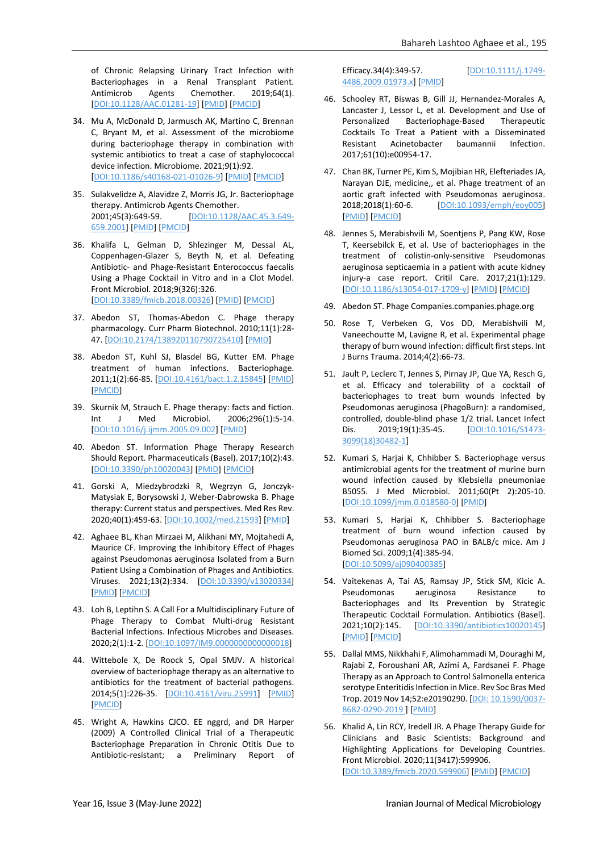of Chronic Relapsing Urinary Tract Infection with Bacteriophages in a Renal Transplant Patient. Antimicrob Agents Chemother. 2019;64(1). [\[DOI:10.1128/AAC.01281-19\]](https://doi.org/10.1128/AAC.01281-19) [\[PMID\]](https://www.ncbi.nlm.nih.gov/pubmed/31611357) [\[PMCID\]](http://www.ncbi.nlm.nih.gov/pmc/articles/PMC7187595)

- 34. Mu A, McDonald D, Jarmusch AK, Martino C, Brennan C, Bryant M, et al. Assessment of the microbiome during bacteriophage therapy in combination with systemic antibiotics to treat a case of staphylococcal device infection. Microbiome. 2021;9(1):92. [\[DOI:10.1186/s40168-021-01026-9\]](https://doi.org/10.1186/s40168-021-01026-9) [\[PMID\]](https://www.ncbi.nlm.nih.gov/pubmed/33853672) [\[PMCID\]](http://www.ncbi.nlm.nih.gov/pmc/articles/PMC8048313)
- 35. Sulakvelidze A, Alavidze Z, Morris JG, Jr. Bacteriophage therapy. Antimicrob Agents Chemother. 2001;45(3):649-59. [\[DOI:10.1128/AAC.45.3.649-](https://doi.org/10.1128/AAC.45.3.649-659.2001) [659.2001\]](https://doi.org/10.1128/AAC.45.3.649-659.2001) [\[PMID\]](https://www.ncbi.nlm.nih.gov/pubmed/11181338) [\[PMCID\]](http://www.ncbi.nlm.nih.gov/pmc/articles/PMC90351)
- 36. Khalifa L, Gelman D, Shlezinger M, Dessal AL, Coppenhagen-Glazer S, Beyth N, et al. Defeating Antibiotic- and Phage-Resistant Enterococcus faecalis Using a Phage Cocktail in Vitro and in a Clot Model. Front Microbiol. 2018;9(326):326. [\[DOI:10.3389/fmicb.2018.00326\]](https://doi.org/10.3389/fmicb.2018.00326) [\[PMID\]](https://www.ncbi.nlm.nih.gov/pubmed/29541067) [\[PMCID\]](http://www.ncbi.nlm.nih.gov/pmc/articles/PMC5835721)
- 37. Abedon ST, Thomas-Abedon C. Phage therapy pharmacology. Curr Pharm Biotechnol. 2010;11(1):28- 47. [\[DOI:10.2174/138920110790725410\]](https://doi.org/10.2174/138920110790725410) [\[PMID\]](https://www.ncbi.nlm.nih.gov/pubmed/20214606)
- 38. Abedon ST, Kuhl SJ, Blasdel BG, Kutter EM. Phage treatment of human infections. Bacteriophage. 2011;1(2):66-85. [\[DOI:10.4161/bact.1.2.15845\]](https://doi.org/10.4161/bact.1.2.15845) [\[PMID\]](https://www.ncbi.nlm.nih.gov/pubmed/22334863) [\[PMCID\]](http://www.ncbi.nlm.nih.gov/pmc/articles/PMC3278644)
- 39. Skurnik M, Strauch E. Phage therapy: facts and fiction. Int J Med Microbiol. 2006;296(1):5-14. [\[DOI:10.1016/j.ijmm.2005.09.002\]](https://doi.org/10.1016/j.ijmm.2005.09.002) [\[PMID\]](https://www.ncbi.nlm.nih.gov/pubmed/16423684)
- 40. Abedon ST. Information Phage Therapy Research Should Report. Pharmaceuticals (Basel). 2017;10(2):43. [\[DOI:10.3390/ph10020043\]](https://doi.org/10.3390/ph10020043) [\[PMID\]](https://www.ncbi.nlm.nih.gov/pubmed/28468287) [\[PMCID\]](http://www.ncbi.nlm.nih.gov/pmc/articles/PMC5490400)
- 41. Gorski A, Miedzybrodzki R, Wegrzyn G, Jonczyk-Matysiak E, Borysowski J, Weber-Dabrowska B. Phage therapy: Current status and perspectives. Med Res Rev. 2020;40(1):459-63. [\[DOI:10.1002/med.21593\]](https://doi.org/10.1002/med.21593) [\[PMID\]](https://www.ncbi.nlm.nih.gov/pubmed/31062882)
- 42. Aghaee BL, Khan Mirzaei M, Alikhani MY, Mojtahedi A, Maurice CF. Improving the Inhibitory Effect of Phages against Pseudomonas aeruginosa Isolated from a Burn Patient Using a Combination of Phages and Antibiotics. Viruses. 2021;13(2):334. [\[DOI:10.3390/v13020334\]](https://doi.org/10.3390/v13020334) [\[PMID\]](https://www.ncbi.nlm.nih.gov/pubmed/33670028) [\[PMCID\]](http://www.ncbi.nlm.nih.gov/pmc/articles/PMC7926668)
- 43. Loh B, Leptihn S. A Call For a Multidisciplinary Future of Phage Therapy to Combat Multi-drug Resistant Bacterial Infections. Infectious Microbes and Diseases. 2020;2(1):1-2. [\[DOI:10.1097/IM9.0000000000000018\]](https://doi.org/10.1097/IM9.0000000000000018)
- 44. Wittebole X, De Roock S, Opal SMJV. A historical overview of bacteriophage therapy as an alternative to antibiotics for the treatment of bacterial pathogens. 2014;5(1):226-35. [\[DOI:10.4161/viru.25991\]](https://doi.org/10.4161/viru.25991) [\[PMID\]](https://www.ncbi.nlm.nih.gov/pubmed/23973944) [\[PMCID\]](http://www.ncbi.nlm.nih.gov/pmc/articles/PMC3916379)
- 45. Wright A, Hawkins CJCO. EE nggrd, and DR Harper (2009) A Controlled Clinical Trial of a Therapeutic Bacteriophage Preparation in Chronic Otitis Due to Antibiotic-resistant; a Preliminary Report of

Efficacy.34(4):349-57. [\[DOI:10.1111/j.1749-](https://doi.org/10.1111/j.1749-4486.2009.01973.x) [4486.2009.01973.x\]](https://doi.org/10.1111/j.1749-4486.2009.01973.x) [\[PMID\]](https://www.ncbi.nlm.nih.gov/pubmed/19673983)

- 46. Schooley RT, Biswas B, Gill JJ, Hernandez-Morales A, Lancaster J, Lessor L, et al. Development and Use of Personalized Bacteriophage-Based Therapeutic Cocktails To Treat a Patient with a Disseminated Resistant Acinetobacter baumannii Infection. 2017;61(10):e00954-17.
- 47. Chan BK, Turner PE, Kim S, Mojibian HR, Elefteriades JA, Narayan DJE, medicine,, et al. Phage treatment of an aortic graft infected with Pseudomonas aeruginosa. 2018;2018(1):60-6. [\[DOI:10.1093/emph/eoy005\]](https://doi.org/10.1093/emph/eoy005) [\[PMID\]](https://www.ncbi.nlm.nih.gov/pubmed/29588855) [\[PMCID\]](http://www.ncbi.nlm.nih.gov/pmc/articles/PMC5842392)
- 48. Jennes S, Merabishvili M, Soentjens P, Pang KW, Rose T, Keersebilck E, et al. Use of bacteriophages in the treatment of colistin-only-sensitive Pseudomonas aeruginosa septicaemia in a patient with acute kidney injury-a case report. Critil Care. 2017;21(1):129. [\[DOI:10.1186/s13054-017-1709-y\]](https://doi.org/10.1186/s13054-017-1709-y) [\[PMID\]](https://www.ncbi.nlm.nih.gov/pubmed/28583189) [\[PMCID\]](http://www.ncbi.nlm.nih.gov/pmc/articles/PMC5460490)
- 49. Abedon ST. Phage Companies.companies.phage.org
- 50. Rose T, Verbeken G, Vos DD, Merabishvili M, Vaneechoutte M, Lavigne R, et al. Experimental phage therapy of burn wound infection: difficult first steps. Int J Burns Trauma. 2014;4(2):66-73.
- 51. Jault P, Leclerc T, Jennes S, Pirnay JP, Que YA, Resch G, et al. Efficacy and tolerability of a cocktail of bacteriophages to treat burn wounds infected by Pseudomonas aeruginosa (PhagoBurn): a randomised, controlled, double-blind phase 1/2 trial. Lancet Infect Dis. 2019;19(1):35-45. [\[DOI:10.1016/S1473-](https://doi.org/10.1016/S1473-3099(18)30482-1) [3099\(18\)30482-1\]](https://doi.org/10.1016/S1473-3099(18)30482-1)
- 52. Kumari S, Harjai K, Chhibber S. Bacteriophage versus antimicrobial agents for the treatment of murine burn wound infection caused by Klebsiella pneumoniae B5055. J Med Microbiol. 2011;60(Pt 2):205-10. [\[DOI:10.1099/jmm.0.018580-0\]](https://doi.org/10.1099/jmm.0.018580-0) [\[PMID\]](https://www.ncbi.nlm.nih.gov/pubmed/20965914)
- 53. Kumari S, Harjai K, Chhibber S. Bacteriophage treatment of burn wound infection caused by Pseudomonas aeruginosa PAO in BALB/c mice. Am J Biomed Sci. 2009;1(4):385-94. [\[DOI:10.5099/aj090400385\]](https://doi.org/10.5099/aj090400385)
- 54. Vaitekenas A, Tai AS, Ramsay JP, Stick SM, Kicic A. Pseudomonas aeruginosa Resistance to Bacteriophages and Its Prevention by Strategic Therapeutic Cocktail Formulation. Antibiotics (Basel). 2021;10(2):145. [\[DOI:10.3390/antibiotics10020145\]](https://doi.org/10.3390/antibiotics10020145) [\[PMID\]](https://www.ncbi.nlm.nih.gov/pubmed/33540528) [\[PMCID\]](http://www.ncbi.nlm.nih.gov/pmc/articles/PMC7912912)
- 55. Dallal MMS, Nikkhahi F, Alimohammadi M, Douraghi M, Rajabi Z, Foroushani AR, Azimi A, Fardsanei F. Phage Therapy as an Approach to Control Salmonella enterica serotype Enteritidis Infection in Mice. Rev Soc Bras Med Trop. 2019 Nov 14;52:e20190290. [DOI: [10.1590/0037-](https://doi.org/10.1590/0037-8682-0290-2019) [8682-0290-2019](https://doi.org/10.1590/0037-8682-0290-2019) ] [\[PMID\]](https://pubmed.ncbi.nlm.nih.gov/31778422/)
- 56. Khalid A, Lin RCY, Iredell JR. A Phage Therapy Guide for Clinicians and Basic Scientists: Background and Highlighting Applications for Developing Countries. Front Microbiol. 2020;11(3417):599906. [\[DOI:10.3389/fmicb.2020.599906\]](https://doi.org/10.3389/fmicb.2020.599906) [\[PMID\]](https://www.ncbi.nlm.nih.gov/pubmed/33643225) [\[PMCID\]](http://www.ncbi.nlm.nih.gov/pmc/articles/PMC7904893)